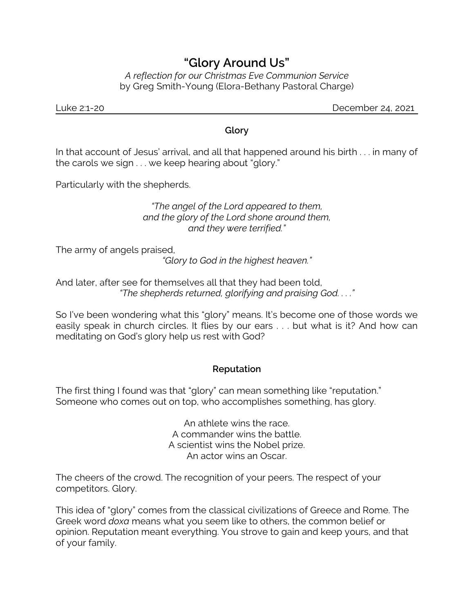# *"Glory Around Us"*

*A reflection for our Christmas Eve Communion Service* by Greg Smith-Young (Elora-Bethany Pastoral Charge)

Luke 2:1-20 December 24, 2021

### **Glory**

In that account of Jesus' arrival, and all that happened around his birth . . . in many of the carols we sign . . . we keep hearing about "glory."

Particularly with the shepherds.

*"The angel of the Lord appeared to them, and the glory of the Lord shone around them, and they were terrified."*

The army of angels praised,

*"Glory to God in the highest heaven."*

And later, after see for themselves all that they had been told, *"The shepherds returned, glorifying and praising God. . . ."*

So I've been wondering what this "glory" means. It's become one of those words we easily speak in church circles. It flies by our ears . . . but what is it? And how can meditating on God's glory help us rest with God?

# **Reputation**

The first thing I found was that "glory" can mean something like "reputation." Someone who comes out on top, who accomplishes something, has glory.

> An athlete wins the race. A commander wins the battle. A scientist wins the Nobel prize. An actor wins an Oscar.

The cheers of the crowd. The recognition of your peers. The respect of your competitors. Glory.

This idea of "glory" comes from the classical civilizations of Greece and Rome. The Greek word *doxa* means what you seem like to others, the common belief or opinion. Reputation meant everything. You strove to gain and keep yours, and that of your family.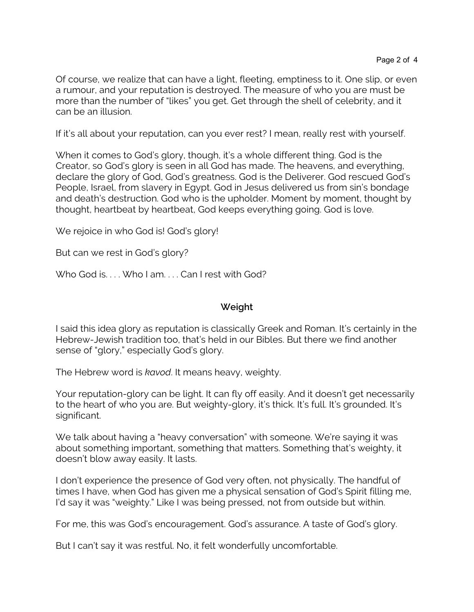Of course, we realize that can have a light, fleeting, emptiness to it. One slip, or even a rumour, and your reputation is destroyed. The measure of who you are must be more than the number of "likes" you get. Get through the shell of celebrity, and it can be an illusion.

If it's all about your reputation, can you ever rest? I mean, really rest with yourself.

When it comes to God's glory, though, it's a whole different thing. God is the Creator, so God's glory is seen in all God has made. The heavens, and everything, declare the glory of God, God's greatness. God is the Deliverer. God rescued God's People, Israel, from slavery in Egypt. God in Jesus delivered us from sin's bondage and death's destruction. God who is the upholder. Moment by moment, thought by thought, heartbeat by heartbeat, God keeps everything going. God is love.

We rejoice in who God is! God's glory!

But can we rest in God's glory?

Who God is. . . . Who I am. . . . Can I rest with God?

### **Weight**

I said this idea glory as reputation is classically Greek and Roman. It's certainly in the Hebrew-Jewish tradition too, that's held in our Bibles. But there we find another sense of "glory," especially God's glory.

The Hebrew word is *kavod*. It means heavy, weighty.

Your reputation-glory can be light. It can fly off easily. And it doesn't get necessarily to the heart of who you are. But weighty-glory, it's thick. It's full. It's grounded. It's significant.

We talk about having a "heavy conversation" with someone. We're saying it was about something important, something that matters. Something that's weighty, it doesn't blow away easily. It lasts.

I don't experience the presence of God very often, not physically. The handful of times I have, when God has given me a physical sensation of God's Spirit filling me, I'd say it was "weighty." Like I was being pressed, not from outside but within.

For me, this was God's encouragement. God's assurance. A taste of God's glory.

But I can't say it was restful. No, it felt wonderfully uncomfortable.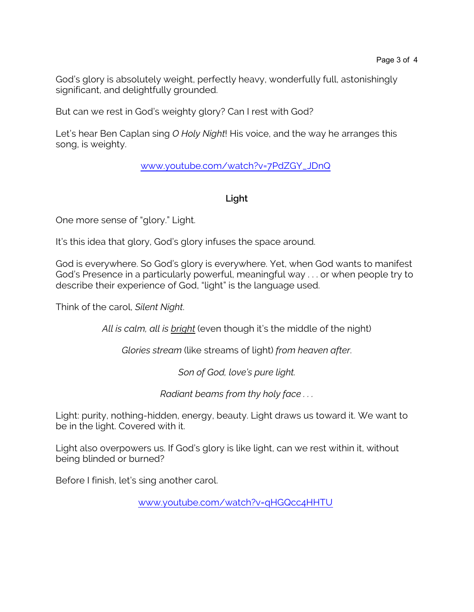God's glory is absolutely weight, perfectly heavy, wonderfully full, astonishingly significant, and delightfully grounded.

But can we rest in God's weighty glory? Can I rest with God?

Let's hear Ben Caplan sing *O Holy Night*! His voice, and the way he arranges this song, is weighty.

[www.youtube.com/watch?v=7PdZGY\\_JDnQ](https://www.youtube.com/watch?v=7PdZGY_JDnQ)

# **Light**

One more sense of "glory." Light.

It's this idea that glory, God's glory infuses the space around.

God is everywhere. So God's glory is everywhere. Yet, when God wants to manifest God's Presence in a particularly powerful, meaningful way . . . or when people try to describe their experience of God, "light" is the language used.

Think of the carol, *Silent Night*.

*All is calm, all is bright* (even though it's the middle of the night)

*Glories stream* (like streams of light) *from heaven after*.

*Son of God, love's pure light.*

*Radiant beams from thy holy face . . .*

Light: purity, nothing-hidden, energy, beauty. Light draws us toward it. We want to be in the light. Covered with it.

Light also overpowers us. If God's glory is like light, can we rest within it, without being blinded or burned?

Before I finish, let's sing another carol.

[www.youtube.com/watch?v=qHGQcc4HHTU](https://www.youtube.com/watch?v=qHGQcc4HHTU)